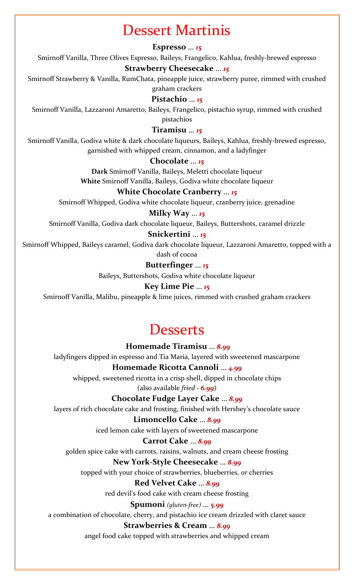# Dessert Martinis

#### **Espresso** … *15*

Smirnoff Vanilla, Three Olives Espresso, Baileys, Frangelico, Kahlua, freshly-brewed espresso

### **Strawberry Cheesecake** … *15*

Smirnoff Strawberry & Vanilla, RumChata, pineapple juice, strawberry puree, rimmed with crushed graham crackers

### **Pistachio** … *15*

Smirnoff Vanilla, Lazzaroni Amaretto, Baileys, Frangelico, pistachio syrup, rimmed with crushed pistachios

#### **Tiramisu** … *15*

Smirnoff Vanilla, Godiva white & dark chocolate liqueurs, Baileys, Kahlua, freshly-brewed espresso, garnished with whipped cream, cinnamon, and a ladyfinger

#### **Chocolate** … *15*

**Dark** Smirnoff Vanilla, Baileys, Meletti chocolate liqueur **White** Smirnoff Vanilla, Baileys, Godiva white chocolate liqueur

#### **White Chocolate Cranberry** … *15*

Smirnoff Whipped, Godiva white chocolate liqueur, cranberry juice, grenadine

#### **Milky Way** … *15*

Smirnoff Vanilla, Godiva dark chocolate liqueur, Baileys, Buttershots, caramel drizzle

#### **Snickertini** … *15*

Smirnoff Whipped, Baileys caramel, Godiva dark chocolate liqueur, Lazzaroni Amaretto, topped with a

dash of cocoa

### **Butterfinger** … *15*

Baileys, Buttershots, Godiva white chocolate liqueur

#### **Key Lime Pie** … *15*

Smirnoff Vanilla, Malibu, pineapple & lime juices, rimmed with crushed graham crackers

## **Desserts**

#### **Homemade Tiramisu** … *8.99*

ladyfingers dipped in espresso and Tia Maria, layered with sweetened mascarpone

#### **Homemade Ricotta Cannoli** … *4.99* whipped, sweetened ricotta in a crisp shell, dipped in chocolate chips

(also available *fried - 6.99*)

#### **Chocolate Fudge Layer Cake** … *8.99*

layers of rich chocolate cake and frosting, finished with Hershey's chocolate sauce

#### **Limoncello Cake** … *8.99*

iced lemon cake with layers of sweetened mascarpone

#### **Carrot Cake** … *8.99*

golden spice cake with carrots, raisins, walnuts, and cream cheese frosting

#### **New York-Style Cheesecake** … *8.99*

topped with your choice of strawberries, blueberries, *or* cherries

#### **Red Velvet Cake** … *8.99*

red devil's food cake with cream cheese frosting

#### **Spumoni** *(gluten-free)* … *5.99*

a combination of chocolate, cherry, and pistachio ice cream drizzled with claret sauce

#### **Strawberries & Cream** … *8.99*

angel food cake topped with strawberries and whipped cream